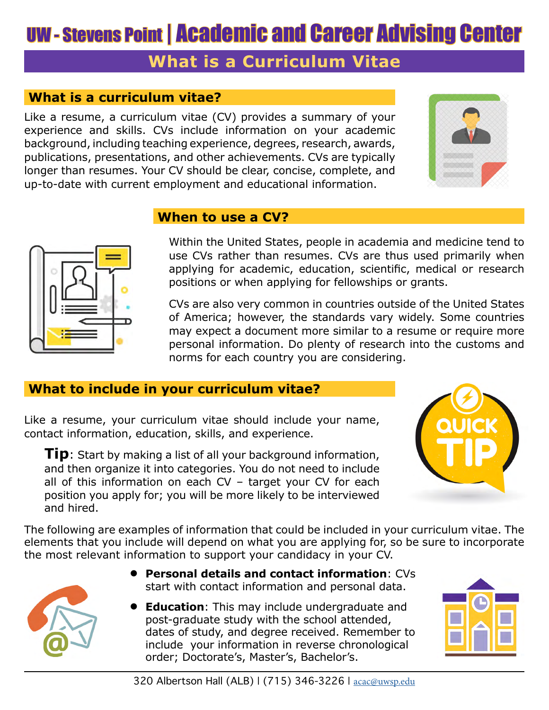# UW - Stevens Point | Academic and Career Advising Center

## **What is a Curriculum Vitae**

### **What is a curriculum vitae?**

Like a resume, a curriculum vitae (CV) provides a summary of your experience and skills. CVs include information on your academic background, including teaching experience, degrees, research, awards, publications, presentations, and other achievements. CVs are typically longer than resumes. Your CV should be clear, concise, complete, and up-to-date with current employment and educational information.





#### **When to use a CV?**

Within the United States, people in academia and medicine tend to use CVs rather than resumes. CVs are thus used primarily when applying for academic, education, scientific, medical or research positions or when applying for fellowships or grants.

CVs are also very common in countries outside of the United States of America; however, the standards vary widely. Some countries may expect a document more similar to a resume or require more personal information. Do plenty of research into the customs and norms for each country you are considering.

#### **What to include in your curriculum vitae?**

Like a resume, your curriculum vitae should include your name, contact information, education, skills, and experience.

**Tip**: Start by making a list of all your background information, and then organize it into categories. You do not need to include all of this information on each CV – target your CV for each position you apply for; you will be more likely to be interviewed and hired.



The following are examples of information that could be included in your curriculum vitae. The elements that you include will depend on what you are applying for, so be sure to incorporate the most relevant information to support your candidacy in your CV.



- **• Personal details and contact information**: CVs start with contact information and personal data.
- **• Education**: This may include undergraduate and post-graduate study with the school attended, dates of study, and degree received. Remember to include your information in reverse chronological order; Doctorate's, Master's, Bachelor's.

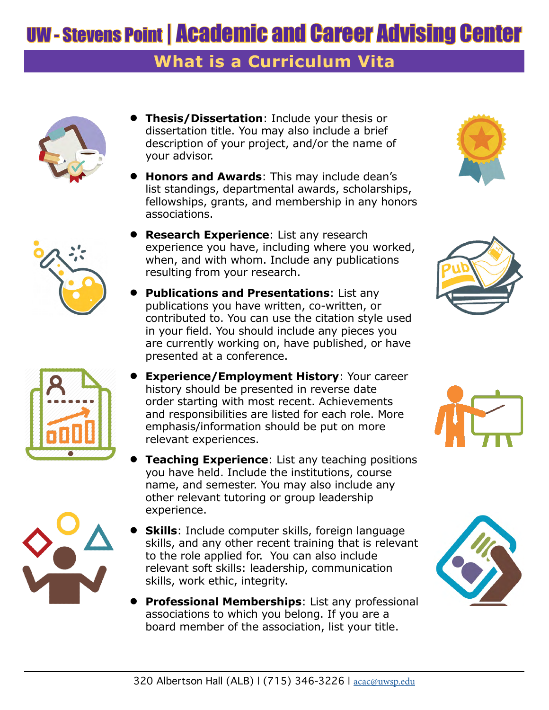## UW - Stevens Point | Academic and Career Advising Center

### **What is a Curriculum Vita**









- **• Thesis/Dissertation**: Include your thesis or dissertation title. You may also include a brief description of your project, and/or the name of your advisor.
- **• Honors and Awards**: This may include dean's list standings, departmental awards, scholarships, fellowships, grants, and membership in any honors associations.
- **• Research Experience**: List any research experience you have, including where you worked, when, and with whom. Include any publications resulting from your research.
- **• Publications and Presentations**: List any publications you have written, co-written, or contributed to. You can use the citation style used in your field. You should include any pieces you are currently working on, have published, or have presented at a conference.
- **• Experience/Employment History**: Your career history should be presented in reverse date order starting with most recent. Achievements and responsibilities are listed for each role. More emphasis/information should be put on more relevant experiences.
- **Feaching Experience:** List any teaching positions you have held. Include the institutions, course name, and semester. You may also include any other relevant tutoring or group leadership experience.
- **Skills**: Include computer skills, foreign language skills, and any other recent training that is relevant to the role applied for. You can also include relevant soft skills: leadership, communication skills, work ethic, integrity.
- **• Professional Memberships**: List any professional associations to which you belong. If you are a board member of the association, list your title.